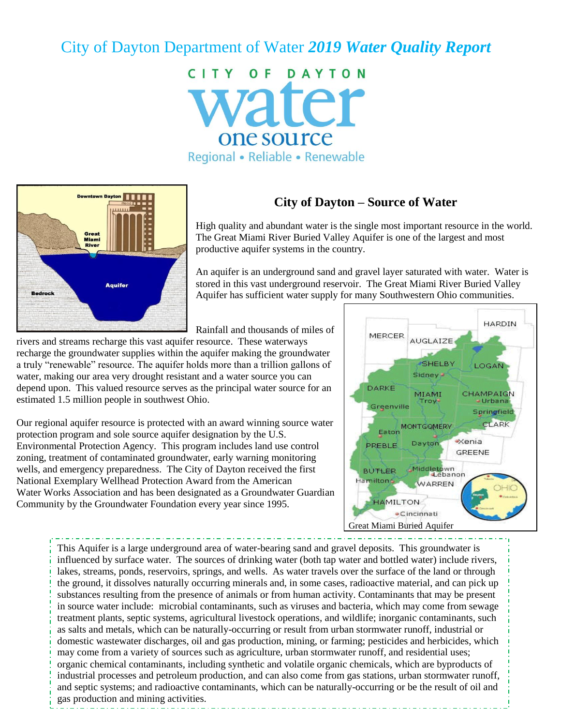# City of Dayton Department of Water *2019 Water Quality Report*

CITY OF DAYTON vater one source Regional • Reliable • Renewable



## **City of Dayton – Source of Water**

High quality and abundant water is the single most important resource in the world. The Great Miami River Buried Valley Aquifer is one of the largest and most productive aquifer systems in the country.

An aquifer is an underground sand and gravel layer saturated with water. Water is stored in this vast underground reservoir. The Great Miami River Buried Valley Aquifer has sufficient water supply for many Southwestern Ohio communities.

Rainfall and thousands of miles of

rivers and streams recharge this vast aquifer resource. These waterways recharge the groundwater supplies within the aquifer making the groundwater a truly "renewable" resource. The aquifer holds more than a trillion gallons of water, making our area very drought resistant and a water source you can depend upon. This valued resource serves as the principal water source for an estimated 1.5 million people in southwest Ohio.

Our regional aquifer resource is protected with an award winning source water protection program and sole source aquifer designation by the U.S. Environmental Protection Agency. This program includes land use control zoning, treatment of contaminated groundwater, early warning monitoring wells, and emergency preparedness. The City of Dayton received the first National Exemplary Wellhead Protection Award from the American Water Works Association and has been designated as a Groundwater Guardian Community by the Groundwater Foundation every year since 1995.



This Aquifer is a large underground area of water-bearing sand and gravel deposits. This groundwater is influenced by surface water. The sources of drinking water (both tap water and bottled water) include rivers, lakes, streams, ponds, reservoirs, springs, and wells. As water travels over the surface of the land or through the ground, it dissolves naturally occurring minerals and, in some cases, radioactive material, and can pick up substances resulting from the presence of animals or from human activity. Contaminants that may be present in source water include: microbial contaminants, such as viruses and bacteria, which may come from sewage treatment plants, septic systems, agricultural livestock operations, and wildlife; inorganic contaminants, such as salts and metals, which can be naturally-occurring or result from urban stormwater runoff, industrial or domestic wastewater discharges, oil and gas production, mining, or farming; pesticides and herbicides, which may come from a variety of sources such as agriculture, urban stormwater runoff, and residential uses; organic chemical contaminants, including synthetic and volatile organic chemicals, which are byproducts of industrial processes and petroleum production, and can also come from gas stations, urban stormwater runoff, and septic systems; and radioactive contaminants, which can be naturally-occurring or be the result of oil and gas production and mining activities.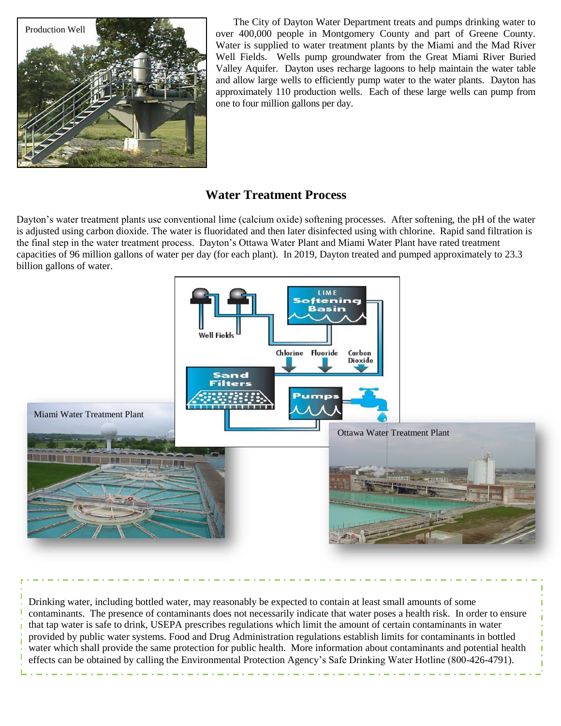

The City of Dayton Water Department treats and pumps drinking water to over 400,000 people in Montgomery County and part of Greene County. Water is supplied to water treatment plants by the Miami and the Mad River Well Fields. Wells pump groundwater from the Great Miami River Buried Valley Aquifer. Dayton uses recharge lagoons to help maintain the water table and allow large wells to efficiently pump water to the water plants. Dayton has approximately 110 production wells. Each of these large wells can pump from one to four million gallons per day.

## **Water Treatment Process**

Dayton's water treatment plants use conventional lime (calcium oxide) softening processes. After softening, the pH of the water is adjusted using carbon dioxide. The water is fluoridated and then later disinfected using with chlorine. Rapid sand filtration is the final step in the water treatment process. Dayton's Ottawa Water Plant and Miami Water Plant have rated treatment capacities of 96 million gallons of water per day (for each plant). In 2019, Dayton treated and pumped approximately to 23.3 billion gallons of water.



Drinking water, including bottled water, may reasonably be expected to contain at least small amounts of some contaminants. The presence of contaminants does not necessarily indicate that water poses a health risk. In order to ensure that tap water is safe to drink, USEPA prescribes regulations which limit the amount of certain contaminants in water provided by public water systems. Food and Drug Administration regulations establish limits for contaminants in bottled water which shall provide the same protection for public health. More information about contaminants and potential health effects can be obtained by calling the Environmental Protection Agency's Safe Drinking Water Hotline (800-426-4791).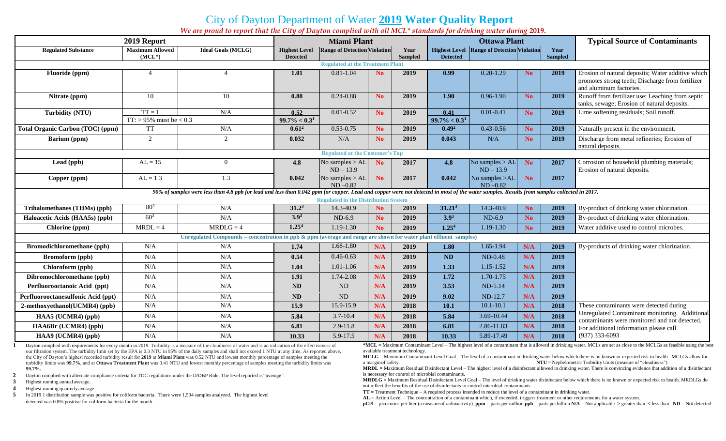# City of Dayton Department of Water **2019 Water Quality Report**

*We are proud to report that the City of Dayton complied with all MCL\* standards for drinking water during* **2019.**

| 2019 Report                                                                                                                                                                                                                               |                                    |                           | <b>Miami Plant</b>   |                                     |                |      | <b>Ottawa Plant</b> |                                                     |                |      | <b>Typical Source of Contaminants</b>                                                                                            |
|-------------------------------------------------------------------------------------------------------------------------------------------------------------------------------------------------------------------------------------------|------------------------------------|---------------------------|----------------------|-------------------------------------|----------------|------|---------------------|-----------------------------------------------------|----------------|------|----------------------------------------------------------------------------------------------------------------------------------|
| <b>Regulated Substance</b>                                                                                                                                                                                                                | <b>Maximum Allowed</b><br>$(MCL*)$ | <b>Ideal Goals (MCLG)</b> | <b>Highest Level</b> | <b>Range of Detection Violation</b> |                | Year |                     | <b>Highest Level   Range of Detection Violation</b> |                | Year |                                                                                                                                  |
| <b>Sampled</b><br><b>Sampled</b><br><b>Detected</b><br><b>Detected</b><br><b>Regulated at the Treatment Plant</b>                                                                                                                         |                                    |                           |                      |                                     |                |      |                     |                                                     |                |      |                                                                                                                                  |
| Fluoride (ppm)                                                                                                                                                                                                                            | $\overline{A}$                     |                           | 1.01                 | $0.81 - 1.04$                       | N <sub>0</sub> | 2019 | 0.99                | $0.20 - 1.29$                                       | No             | 2019 | Erosion of natural deposits; Water additive which<br>promotes strong teeth; Discharge from fertilizer<br>and aluminum factories. |
| Nitrate (ppm)                                                                                                                                                                                                                             | 10                                 | 10                        | 0.88                 | $0.24 - 0.88$                       | N <sub>o</sub> | 2019 | 1.90                | $0.96 - 1.90$                                       | N <sub>o</sub> | 2019 | Runoff from fertilizer use; Leaching from septic<br>tanks, sewage; Erosion of natural deposits.                                  |
| <b>Turbidity (NTU)</b>                                                                                                                                                                                                                    | $TT = 1$                           | N/A                       | 0.52                 | $0.01 - 0.52$                       | N <sub>o</sub> | 2019 | 0.41                | $0.01 - 0.41$                                       | N <sub>o</sub> | 2019 | Lime softening residuals; Soil runoff.                                                                                           |
|                                                                                                                                                                                                                                           | $TT:$ > 95% must be < 0.3          |                           | $99.7\% < 0.3^1$     |                                     |                |      | $99.7\% < 0.31$     |                                                     |                |      |                                                                                                                                  |
| Total Organic Carbon (TOC) (ppm)                                                                                                                                                                                                          | TT                                 | N/A                       | $0.61^2$             | $0.53 - 0.75$                       | N <sub>0</sub> | 2019 | 0.49 <sup>2</sup>   | $0.43 - 0.56$                                       | N <sub>o</sub> | 2019 | Naturally present in the environment.                                                                                            |
| Barium (ppm)                                                                                                                                                                                                                              | 2                                  | $\overline{2}$            | 0.032                | N/A                                 | N <sub>o</sub> | 2019 | 0.043               | N/A                                                 | N <sub>o</sub> | 2019 | Discharge from metal refineries; Erosion of<br>natural deposits.                                                                 |
| <b>Regulated at the Customer's Tap</b>                                                                                                                                                                                                    |                                    |                           |                      |                                     |                |      |                     |                                                     |                |      |                                                                                                                                  |
| Lead (ppb)                                                                                                                                                                                                                                | $AL = 15$                          | $\Omega$                  | 4.8                  | No samples $>$ AL<br>$ND - 13.9$    | <b>No</b>      | 2017 | 4.8                 | No samples $>$ AL<br>$ND - 13.9$                    | <b>No</b>      | 2017 | Corrosion of household plumbing materials;<br>Erosion of natural deposits.                                                       |
| Copper (ppm)                                                                                                                                                                                                                              | $AL = 1.3$                         | 1.3                       | 0.042                | No samples $>AL$<br>$ND - 0.82$     | N <sub>o</sub> | 2017 | 0.042               | No samples >AL<br>$ND - 0.82$                       | No.            | 2017 |                                                                                                                                  |
| 90% of samples were less than 4.8 ppb for lead and less than 0.042 ppm for copper. Lead and copper were not detected in most of the water samples. Results from samples collected in 2017.<br><b>Regulated in the Distribution System</b> |                                    |                           |                      |                                     |                |      |                     |                                                     |                |      |                                                                                                                                  |
| Trihalomethanes (THMs) (ppb)                                                                                                                                                                                                              | $80^{3}$                           | N/A                       | $31.2^3$             | 14.3-40.9                           | N <sub>o</sub> | 2019 | 31.21 <sup>3</sup>  | 14.3-40.9                                           | N <sub>o</sub> | 2019 | By-product of drinking water chlorination.                                                                                       |
| Haloacetic Acids (HAA5s) (ppb)                                                                                                                                                                                                            | $60^{3}$                           | N/A                       | 3.9 <sup>3</sup>     | $ND-6.9$                            | <b>No</b>      | 2019 | $3.9^{3}$           | $ND-6.9$                                            | No.            | 2019 | By-product of drinking water chlorination.                                                                                       |
| Chlorine (ppm)                                                                                                                                                                                                                            | $MRDL = 4$                         | $MRDLG = 4$               | 1.25 <sup>4</sup>    | 1.19-1.30                           | N <sub>0</sub> | 2019 | 1.25 <sup>4</sup>   | 1.19-1.30                                           | N <sub>o</sub> | 2019 | Water additive used to control microbes.                                                                                         |
| Unregulated Compounds - concentration in ppb & ppm (average and range are shown for water plant effluent samples)                                                                                                                         |                                    |                           |                      |                                     |                |      |                     |                                                     |                |      |                                                                                                                                  |
| Bromodichloromethane (ppb)                                                                                                                                                                                                                | N/A                                | N/A                       | 1.74                 | $1.68 - 1.80$                       | N/A            | 2019 | 1.80                | $1.65 - 1.94$                                       | N/A            | 2019 | By-products of drinking water chlorination.                                                                                      |
| <b>Bromoform</b> (ppb)                                                                                                                                                                                                                    | N/A                                | N/A                       | 0.54                 | $0.46 - 0.63$                       | N/A            | 2019 | <b>ND</b>           | $ND-0.48$                                           | N/A            | 2019 |                                                                                                                                  |
| Chloroform (ppb)                                                                                                                                                                                                                          | N/A                                | N/A                       | 1.04                 | $1.01 - 1.06$                       | N/A            | 2019 | 1.33                | $1.15 - 1.52$                                       | N/A            | 2019 |                                                                                                                                  |
| Dibromochloromethane (ppb)                                                                                                                                                                                                                | N/A                                | N/A                       | 1.91                 | 1.74-2.08                           | N/A            | 2019 | 1.72                | 1.70-1.75                                           | N/A            | 2019 |                                                                                                                                  |
| Perfluorooctanoic Acid (ppt)                                                                                                                                                                                                              | N/A                                | N/A                       | <b>ND</b>            | $\rm ND$                            | N/A            | 2019 | 3.53                | ND-5.14                                             | N/A            | 2019 |                                                                                                                                  |
| Perfluorooctanesulfonic Acid (ppt)                                                                                                                                                                                                        | N/A                                | N/A                       | <b>ND</b>            | ND                                  | N/A            | 2019 | 9.02                | ND-12.7                                             | N/A            | 2019 |                                                                                                                                  |
| 2-methoxyethanol(UCMR4) (ppb)                                                                                                                                                                                                             | N/A                                | N/A                       | 15.9                 | 15.9-15.9                           | N/A            | 2018 | 10.1                | $10.1 - 10.1$                                       | N/A            | 2018 | These contaminants were detected during                                                                                          |
| HAA5 (UCMR4) (ppb)                                                                                                                                                                                                                        | N/A                                | N/A                       | 5.84                 | $3.7 - 10.4$                        | N/A            | 2018 | 5.84                | 3.69-10.44                                          | N/A            | 2018 | Unregulated Contaminant monitoring. Additional<br>contaminants were monitored and not detected.                                  |
| HAA6Br (UCMR4) (ppb)                                                                                                                                                                                                                      | N/A                                | N/A                       | 6.81                 | $2.9 - 11.8$                        | N/A            | 2018 | 6.81                | 2.86-11.83                                          | N/A            | 2018 | For additional information please call                                                                                           |
| HAA9 (UCMR4) (ppb)                                                                                                                                                                                                                        | N/A                                | N/A                       | 10.33                | 5.9-17.5                            | N/A            | 2018 | 10.33               | 5.89-17.49                                          | N/A            | 2018 | $(937)$ 333-6093                                                                                                                 |

**1** Dayton complied with requirements for every month in 2019. Turbidity is a measure of the cloudiness of water and is an indication of the effectiveness of our filtration system. The turbidity limit set by the EPA is 0.3 NTU in 95% of the daily samples and shall not exceed 1 NTU at any time. As reported above, the City of Dayton's highest recorded turbidity result for **2019** at **Miami Plant** was 0.52 NTU and lowest monthly percentage of samples meeting the turbidity limits was **99.7%**, and at **Ottawa Treatment Plant** was 0.41 NTU and lowest monthly percentage of samples meeting the turbidity limits was **99.7%.**

**2** Dayton complied with alternate compliance criteria for TOC regulations under the D/DBP Rule. The level reported is "average".

**3** Highest running annual average.

**4** Highest running quarterly average

**5** In 2019 1 distribution sample was positive for coliform bacteria. There were 1,504 samples analyzed. The highest level detected was 0.8% positive for coliform bacteria for the month.

**\*MCL** = Maximum Contaminant Level – The highest level of a contaminant that is allowed in drinking water. MCLs are set as close to the MCLGs as feasible using the best available treatment technology.

**MCLG** = Maximum Contaminant Level Goal – The level of a contaminant in drinking water below which there is no known or expected risk to health. MCLGs allow for a margin of safety.  $NTU = Nephelometric Turbidity Units (measure of "cloudiness")$ 

**MRDL =** Maximum Residual Disinfectant Level – The highest level of a disinfectant allowed in drinking water. There is convincing evidence that addition of a disinfectant is necessary for control of microbial contaminants.

**MRDLG =** Maximum Residual Disinfectant Level Goal – The level of drinking water disinfectant below which there is no known or expected risk to health. MRDLGs do not reflect the benefits of the use of disinfectants to control microbial contaminants.

**TT =** Treatment Technique – A required process intended to reduce the level of a contaminant in drinking water.

**AL** = Action Level – The concentration of a contaminant which, if exceeded, triggers treatment or other requirements for a water system.

**pCi/l** = picocuries per liter (a measureof radioactivity) **ppm** = parts per million **ppb** = parts per billion **N/A** = Not applicable **>** greater than **<** less than **ND** = Not detected